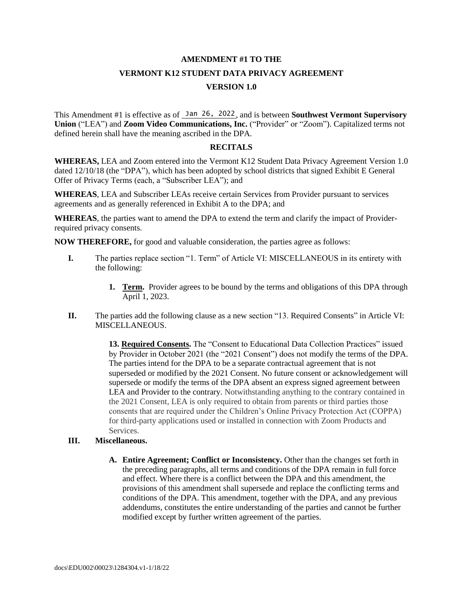## **AMENDMENT #1 TO THE VERMONT K12 STUDENT DATA PRIVACY AGREEMENT VERSION 1.0**

This Amendment #1 is effective as of **Jan 26, 2022**, and is between **Southwest Vermont Supervisory Union** ("LEA") and **Zoom Video Communications, Inc.** ("Provider" or "Zoom"). Capitalized terms not defined herein shall have the meaning ascribed in the DPA.

## **RECITALS**

**WHEREAS,** LEA and Zoom entered into the Vermont K12 Student Data Privacy Agreement Version 1.0 dated 12/10/18 (the "DPA"), which has been adopted by school districts that signed Exhibit E General Offer of Privacy Terms (each, a "Subscriber LEA"); and

**WHEREAS**, LEA and Subscriber LEAs receive certain Services from Provider pursuant to services agreements and as generally referenced in Exhibit A to the DPA; and

**WHEREAS**, the parties want to amend the DPA to extend the term and clarify the impact of Providerrequired privacy consents.

**NOW THEREFORE,** for good and valuable consideration, the parties agree as follows:

- **I.** The parties replace section "1. Term" of Article VI: MISCELLANEOUS in its entirety with the following:
	- **1. Term.** Provider agrees to be bound by the terms and obligations of this DPA through April 1, 2023.
- **II.** The parties add the following clause as a new section "13. Required Consents" in Article VI: MISCELLANEOUS.

**13. Required Consents.** The "Consent to Educational Data Collection Practices" issued by Provider in October 2021 (the "2021 Consent") does not modify the terms of the DPA. The parties intend for the DPA to be a separate contractual agreement that is not superseded or modified by the 2021 Consent. No future consent or acknowledgement will supersede or modify the terms of the DPA absent an express signed agreement between LEA and Provider to the contrary. Notwithstanding anything to the contrary contained in the 2021 Consent, LEA is only required to obtain from parents or third parties those consents that are required under the Children's Online Privacy Protection Act (COPPA) for third-party applications used or installed in connection with Zoom Products and Services.

## **III. Miscellaneous.**

**A. Entire Agreement; Conflict or Inconsistency.** Other than the changes set forth in the preceding paragraphs, all terms and conditions of the DPA remain in full force and effect. Where there is a conflict between the DPA and this amendment, the provisions of this amendment shall supersede and replace the conflicting terms and conditions of the DPA. This amendment, together with the DPA, and any previous addendums, constitutes the entire understanding of the parties and cannot be further modified except by further written agreement of the parties.